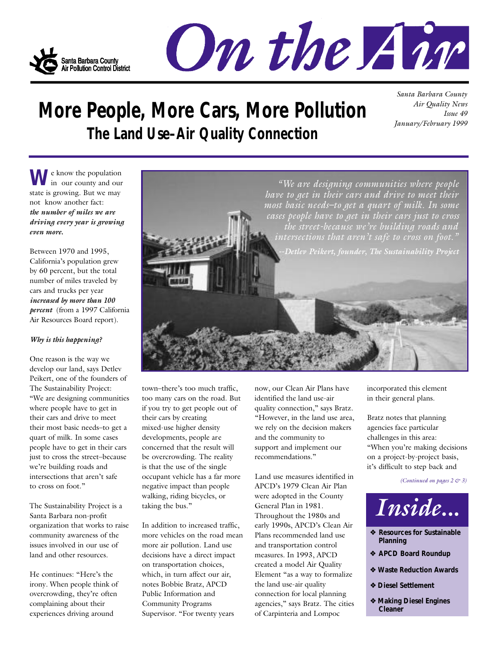



# **More People, More Cars, More Pollution The Land Use–Air Quality Connection**

*Santa Barbara County Air Quality News Issue 49 January/February 1999*

We know the population state is growing. But we may not know another fact: *the number of miles we are driving every year is growing even more.*

Between 1970 and 1995, California's population grew by 60 percent, but the total number of miles traveled by cars and trucks per year *i n c reased by more than 100 percent* (from a 1997 California Air Resources Board report).

#### *Why is this happening?*

One reason is the way we develop our land, says Detlev Peikert, one of the founders of The Sustainability Project: "We are designing communities where people have to get in their cars and drive to meet their most basic needs–to get a quart of milk. In some cases people have to get in their cars just to cross the street–because we're building roads and intersections that aren't safe to cross on foot."

The Sustainability Project is a Santa Barbara non-profit organization that works to raise community awareness of the issues involved in our use of land and other resources.

He continues: "Here's the irony. When people think of overcrowding, they're often complaining about their experiences driving around

town–there's too much traffic, too many cars on the road. But if you try to get people out of their cars by creating mixed-use higher density developments, people are concerned that the result will be overcrowding. The reality is that the use of the single occupant vehicle has a far more negative impact than people walking, riding bicycles, or taking the bus."

In addition to increased traffic, more vehicles on the road mean more air pollution. Land use decisions have a direct impact on transportation choices, which, in turn affect our air, notes Bobbie Bratz, APCD Public Information and Community Programs Supervisor. "For twenty years

now, our Clean Air Plans have identified the land use-air quality connection," says Bratz. "However, in the land use area, we rely on the decision makers and the community to support and implement our recommendations."

Land use measures identified in APCD's 1979 Clean Air Plan were adopted in the County General Plan in 1981. Throughout the 1980s and early 1990s, APCD's Clean Air Plans recommended land use and transportation control measures. In 1993, APCD created a model Air Quality Element "as a way to formalize the land use-air quality connection for local planning agencies," says Bratz. The cities of Carpinteria and Lompoc

incorporated this element in their general plans.

Bratz notes that planning agencies face particular challenges in this area: "When you're making decisions on a project-by-project basis, it's difficult to step back and

*(Continued on pages 2 & 3)*



- ❖ **Resources for Sustainable Planning**
- ❖ **APCD Board Roundup**
- ❖ **Waste Reduction Awards**
- ❖ **Diesel Settlement**
- ❖ **Making Diesel Engines Cleaner**

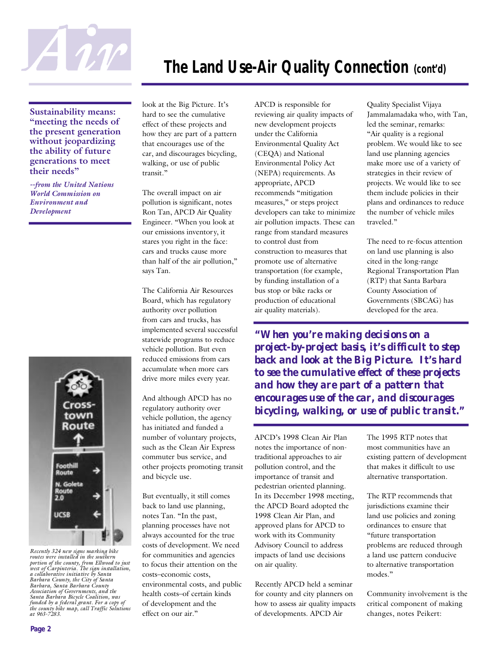

# **The Land Use-Air Quality Connection (cont'd)**

**Sustainability means: "meeting the needs of the present generation without jeopardizing the ability of future generations to meet their needs"** 

*--from the United Nations World Commission on Environment and Development* 



*Recently 324 new signs marking bike routes were installed in the southern portion of the county, from Ellwood to just west of Carpinteria. The sign installation, a collaborative initiative by Santa Barbara County, the City of Santa Barbara, Santa Barbara County Association of Governments, and the Santa Barbara Bicycle Coalition, was funded by a federal grant. For a copy of the county bike map, call Traffic Solutions at 963-7283.* 

look at the Big Picture. It's hard to see the cumulative effect of these projects and how they are part of a pattern that encourages use of the car, and discourages bicycling, walking, or use of public transit."

The overall impact on air pollution is significant, notes Ron Tan, APCD Air Quality Engineer. "When you look at our emissions inventor y, it stares you right in the face: cars and trucks cause more than half of the air pollution," says Tan.

The California Air Resources Board, which has regulatory authority over pollution from cars and trucks, has implemented several successful statewide programs to reduce vehicle pollution. But even reduced emissions from cars accumulate when more cars drive more miles every year.

And although APCD has no regulatory authority over vehicle pollution, the agency has initiated and funded a number of voluntary projects, such as the Clean Air Express commuter bus service, and other projects promoting transit and bicycle use.

But eventually, it still comes back to land use planning, notes Tan. "In the past, planning processes have not always accounted for the true costs of development. We need for communities and agencies to focus their attention on the costs–economic costs, environmental costs, and public health costs–of certain kinds of development and the effect on our air."

APCD is responsible for reviewing air quality impacts of new development projects under the California Environmental Quality Act (CEQA) and National Environmental Policy Act (NEPA) requirements. As appropriate, APCD recommends "mitigation measures," or steps project developers can take to minimize air pollution impacts. These can range from standard measures to control dust from construction to measures that promote use of alternative transportation (for example, by funding installation of a bus stop or bike racks or production of educational air quality materials).

Quality Specialist Vijaya Jammalamadaka who, with Tan, led the seminar, remarks: "Air quality is a regional problem. We would like to see land use planning agencies make more use of a variety of strategies in their review of projects. We would like to see them include policies in their plans and ordinances to reduce the number of vehicle miles traveled."

The need to re-focus attention on land use planning is also cited in the long-range Regional Transportation Plan (RTP) that Santa Barbara County Association of Governments (SBCAG) has developed for the area.

*"When you're making decisions on a project-by-project basis, it's difficult to step back and look at the Big Picture. It's hard to see the cumulative effect of these projects and how they are part of a pattern that encourages use of the car, and discourages bicycling, walking, or use of public transit."*

APCD's 1998 Clean Air Plan notes the importance of nontraditional approaches to air pollution control, and the importance of transit and pedestrian oriented planning. In its December 1998 meeting, the APCD Board adopted the 1998 Clean Air Plan, and approved plans for APCD to work with its Community Advisory Council to address impacts of land use decisions on air quality.

Recently APCD held a seminar for county and city planners on how to assess air quality impacts of developments. APCD Air

The 1995 RTP notes that most communities have an existing pattern of development that makes it difficult to use alternative transportation.

The RTP recommends that jurisdictions examine their land use policies and zoning ordinances to ensure that "future transportation problems are reduced through a land use pattern conducive to alternative transportation modes."

Community involvement is the critical component of making changes, notes Peikert: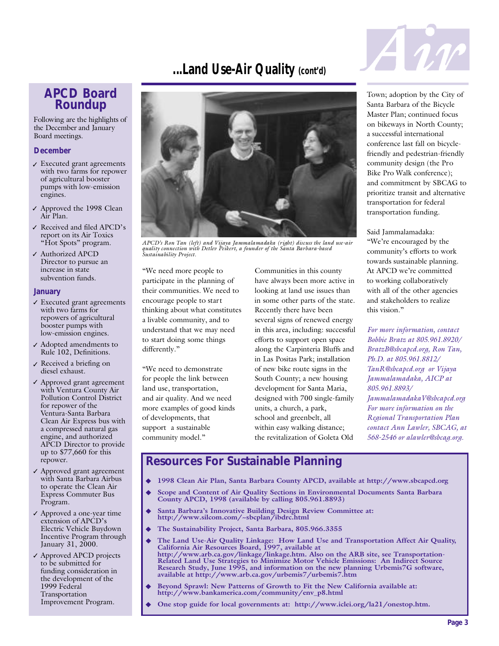## **...Land Use-Air Quality (cont'd)**

#### **APCD Board Roundup**

Following are the highlights of the December and January Board meetings.

#### **December**

- Executed grant agreements ✓ with two farms for repower of agricultural booster pumps with low-emission engines.
- ✓ Approved the 1998 Clean Air Plan.
- Received and filed APCD's ✓ report on its Air Toxics "Hot Spots" program.
- Authorized APCD ✓ Director to pursue an increase in state subvention funds.

#### **January**

- Executed grant agreements ✓ with two farms for repowers of agricultural booster pumps with low-emission engines.
- $\boldsymbol{\mathcal{J}}$  Adopted amendments to Rule 102, Definitions.
- $\boldsymbol{\mathcal{J}}$  Received a briefing on diesel exhaust.
- Approved grant agreement ✓ with Ventura County Air Pollution Control District for repower of the Ventura-Santa Barbara Clean Air Express bus with a compressed natural gas engine, and authorized APCD Director to provide up to \$77,660 for this repower.
- Approved grant agreement ✓ with Santa Barbara Airbus to operate the Clean Air Express Commuter Bus Program.
- Approved a one-year time ✓ extension of APCD's Electric Vehicle Buydown Incentive Program through January 31, 2000.
- Approved APCD projects ✓ to be submitted for funding consideration in the development of the 1999 Federal Transportation Improvement Program.



*APCD's Ron Tan (left) and Vijaya Jammalamadaka (right) discuss the land use-air quality connection with Detlev Peikert, a founder of the Santa Barbara-based Sustainability Project.*

"We need more people to participate in the planning of their communities. We need to encourage people to start thinking about what constitutes a livable community, and to understand that we may need to start doing some things differently."

"We need to demonstrate for people the link between land use, transportation, and air quality. And we need more examples of good kinds of developments, that support a sustainable community model."

Communities in this county have always been more active in looking at land use issues than in some other parts of the state. Recently there have been several signs of renewed energy in this area, including: successful efforts to support open space along the Carpinteria Bluffs and in Las Positas Park; installation of new bike route signs in the South County; a new housing development for Santa Maria, designed with 700 single-family units, a church, a park, school and greenbelt, all within easy walking distance; the revitalization of Goleta Old



Town; adoption by the City of Santa Barbara of the Bicycle Master Plan; continued focus on bikeways in North County; a successful international conference last fall on bicyclefriendly and pedestrian-friendly community design (the Pro Bike Pro Walk conference); and commitment by SBCAG to prioritize transit and alternative transportation for federal transportation funding.

Said Jammalamadaka: "We're encouraged by the community's efforts to work towards sustainable planning. At APCD we're committed to working collaboratively with all of the other agencies and stakeholders to realize this vision."

*For more information, contact Bobbie Bratz at 805.961.8920/ BratzB@sbcapcd.org, Ron Tan, Ph.D. at 805.961.8812/ TanR@sbcapcd.org or Vijaya Jammalamadaka, AICP at 805.961.8893/ JammalamadakaV@sbcapcd.org For more information on the Regional Transportation Plan contact Ann Lawler, SBCAG, at 568-2546 or alawler@sbcag.org.*

#### **Resources For Sustainable Planning**

- ◆ **1998 Clean Air Plan, Santa Barbara County APCD, available at http://www.sbcapcd.org**
- Scope and Content of Air Quality Sections in Environmental Documents Santa Barbara **County APCD, 1998 (available by calling 805.961.8893)**
- Santa Barbara's Innovative Building Design Review Committee at: **http://www.silcom.com/~sbcplan/ibdrc.html**
- The Sustainability Project, Santa Barbara, 805.966.3355
	- ◆ The Land Use-Air Quality Linkage: How Land Use and Transportation Affect Air Quality, **California Air Resources Board, 1997, available at http://www.arb.ca.gov/linkage/linkage.htm. Also on the ARB site, see Transportation-Related Land Use Strategies to Minimize Motor Vehicle Emissions: An Indirect Source Research Study, June 1995, and information on the new planning Urbemis7G software, available at http://www.arb.ca.gov/urbemis7/urbemis7.htm**
	- Beyond Sprawl: New Patterns of Growth to Fit the New California available at: **http://www.bankamerica.com/community/env\_p8.html**
	- One stop guide for local governments at: http://www.iclei.org/la21/onestop.htm.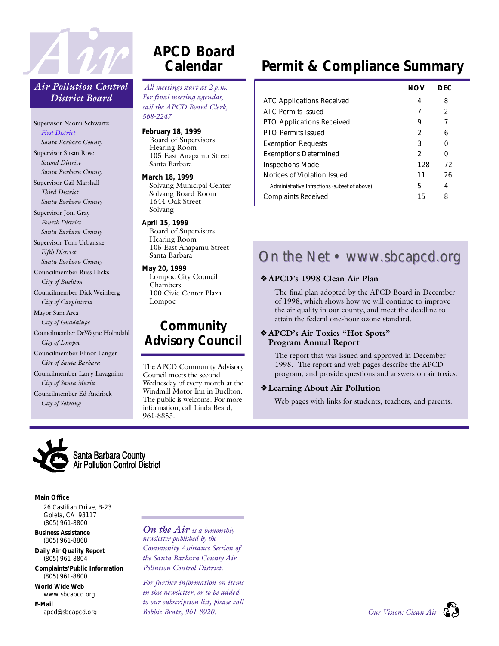

#### *Air Pollution Control District Board*

Supervisor Naomi Schwartz *First District Santa Barbara County* Supervisor Susan Rose *Second District Santa Barbara County* Supervisor Gail Marshall *Third District Santa Barbara County* Supervisor Joni Gray *Fourth District Santa Barbara County* Supervisor Tom Urbanske *Fifth District Santa Barbara County* Councilmember Russ Hicks *City of Buellton* Councilmember Dick Weinberg *City of Carpinteria* Mayor Sam Arca *City of Guadalupe* Councilmember DeWayne Holmdahl *City of Lompoc* Councilmember Elinor Langer *City of Santa Barbara* Councilmember Larry Lavagnino *City of Santa Maria* Councilmember Ed Andrisek *City of Solvang*

## **APCD Board Calendar**

*All meetings start at 2 p.m. For final meeting agendas, call the APCD Board Clerk, 5 6 8 - 2 2 4 7 .*

**February 18, 1999**  Board of Supervisors Hearing Room 105 East Anapamu Street Santa Barbara

**March 18, 1999**  Solvang Municipal Center Solvang Board Room 1644 Oak Street Solvang

**April 15, 1999**  Board of Supervisors Hearing Room 105 East Anapamu Street Santa Barbara

**May 20, 1999**  Lompoc City Council Chambers 100 Civic Center Plaza Lompoc

### **Community Advisory Council**

The APCD Community Advisory Council meets the second Wednesday of every month at the Windmill Motor Inn in Buellton. The public is welcome. For more information, call Linda Beard, 961-8853.

# **Permit & Compliance Summary**

|                                              | NOV | DFC. |
|----------------------------------------------|-----|------|
| ATC Applications Received                    | 4   | 8    |
| ATC Permits Issued                           |     | 2    |
| <b>PTO Applications Received</b>             | 9   |      |
| <b>PTO Permits Issued</b>                    | 2   | 6    |
| <b>Exemption Requests</b>                    | 3   |      |
| <b>Exemptions Determined</b>                 | 2   | O    |
| <b>Inspections Made</b>                      | 128 | 72   |
| Notices of Violation Issued                  | 11  | 26   |
| Administrative Infractions (subset of above) | 5   | 4    |
| Complaints Received                          | 15  | 8    |

# On the Net • www.sbcapcd.org

#### ❖ **APCD's 1998 Clean Air Plan**

The final plan adopted by the APCD Board in December of 1998, which shows how we will continue to improve the air quality in our county, and meet the deadline to attain the federal one-hour ozone standard.

#### ❖ **APCD's Air Toxics "Hot Spots" Program Annual Report**

The report that was issued and approved in December 1998. The report and web pages describe the APCD program, and provide questions and answers on air toxics.

#### ❖ **Learning About Air Pollution**

Web pages with links for students, teachers, and parents.



**Main Office**

26 Castilian Drive, B-23 Goleta, CA 93117 (805) 961-8800

**Business Assistance** (805) 961-8868

**Daily Air Quality Report** (805) 961-8804

**Complaints/Public Information** (805) 961-8800

**World Wide Web** www.sbcapcd.org

**E-Mail** apcd@sbcapcd.org *On the Air is a bimonthly newsletter published by the Community Assistance Section of the Santa Barbara County Air Pollution Control District.* 

*For further information on items in this newsletter, or to be added to our subscription list, please call Bobbie Bratz, 961-8920.*

*Our Vision: Clean Air*

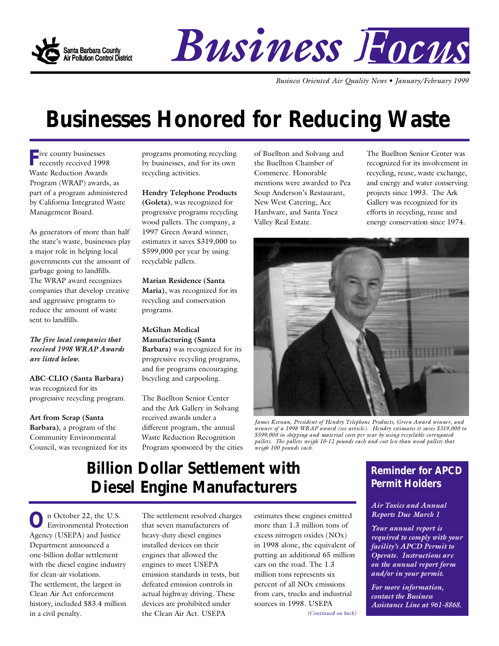

# Business Focus

*Business Oriented Air Quality News • January/February 1999*

# **Businesses Honored for Reducing Waste**

**F** ive county businesses<br>recently received 199 recently received 1998 Waste Reduction Awards Program (WRAP) awards, as part of a program administered by California Integrated Waste Management Board.

As generators of more than half the state's waste, businesses play a major role in helping local governments cut the amount of garbage going to landfills. The WRAP award recognizes companies that develop creative and aggressive programs to reduce the amount of waste sent to landfills.

*The five local companies that received 1998 WRAP Awards are listed below.*

**ABC-CLIO (Santa Barbara)** was recognized for its progressive recycling program.

**Art from Scrap (Santa Barbara)**, a program of the Community Environmental Council, was recognized for its programs promoting recycling by businesses, and for its own recycling activities.

**Hendry Telephone Products (Goleta)**, was recognized for progressive programs recycling wood pallets. The company, a 1997 Green Award winner, estimates it saves \$319,000 to \$599,000 per year by using recyclable pallets.

**Marian Residence (Santa Maria)**, was recognized for its recycling and conservation programs.

**McGhan Medical Manufacturing (Santa Barbara)** was recognized for its progressive recycling programs, and for programs encouraging bicycling and carpooling.

The Buellton Senior Center and the Ark Gallery in Solvang received awards under a different program, the annual Waste Reduction Recognition Program sponsored by the cities of Buellton and Solvang and the Buellton Chamber of Commerce. Honorable mentions were awarded to Pea Soup Anderson's Restaurant, New West Catering, Ace Hardware, and Santa Ynez Valley Real Estate.

The Buellton Senior Center was recognized for its involvement in recycling, reuse, waste exchange, and energy and water conserving projects since 1993. The Ark Gallery was recognized for its efforts in recycling, reuse and energy conservation since 1974.



*James Keenan, President of Hendry Telephone Products, Green Award winner, and winner of a 1998 WRAP award (see article). Hendry estimates it saves \$319,000 to \$599,000 in shipping and material costs per year by using recyclable corrugated pallets. The pallets weigh 10-12 pounds each and cost less than wood pallets that weigh 100 pounds each.*

# **Billion Dollar Settlement with Diesel Engine Manufacturers**

**O**<sup>n</sup> October 22, the U.S.<br>Agency (USEPA) and Justice n October 22, the U.S. Environmental Protection Department announced a one-billion dollar settlement with the diesel engine industry for clean-air violations. The settlement, the largest in Clean Air Act enforcement history, included \$83.4 million in a civil penalty.

The settlement resolved charges that seven manufacturers of heavy-duty diesel engines installed devices on their engines that allowed the engines to meet USEPA emission standards in tests, but defeated emission controls in actual highway driving. These devices are prohibited under the Clean Air Act. USEPA

estimates these engines emitted more than 1.3 million tons of excess nitrogen oxides (NOx) in 1998 alone, the equivalent of putting an additional 65 million cars on the road. The 1.3 million tons represents six percent of all NOx emissions from cars, trucks and industrial sources in 1998. USEPA

*(Continued on back)*

### **Reminder for APCD Permit Holders**

*Air Toxics and Annual Reports Due March 1*

*Your annual report is required to comply with your facility's APCD Permit to Operate. Instructions are on the annual report form and/or in your permit.*

*For more information, contact the Business Assistance Line at 961-8868.*